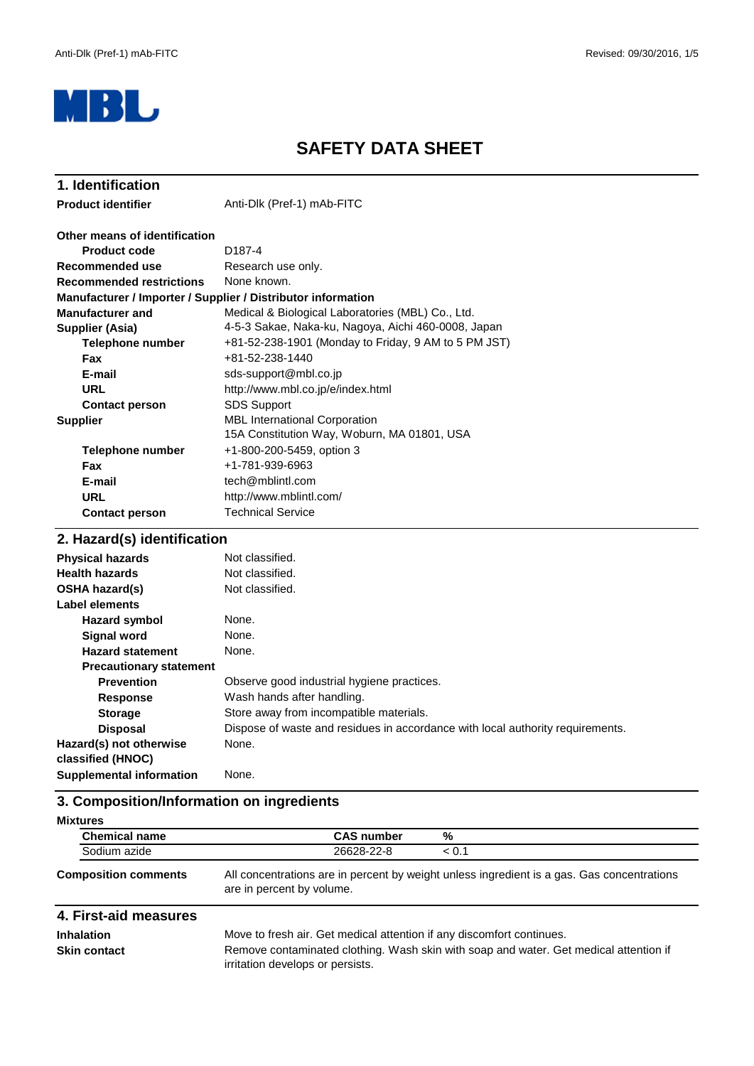

# **SAFETY DATA SHEET**

| 1. Identification                                            |                                                                                     |  |  |
|--------------------------------------------------------------|-------------------------------------------------------------------------------------|--|--|
| <b>Product identifier</b>                                    | Anti-Dlk (Pref-1) mAb-FITC                                                          |  |  |
| Other means of identification                                |                                                                                     |  |  |
| <b>Product code</b>                                          | D <sub>187-4</sub>                                                                  |  |  |
| Recommended use                                              | Research use only.                                                                  |  |  |
| <b>Recommended restrictions</b>                              | None known.                                                                         |  |  |
| Manufacturer / Importer / Supplier / Distributor information |                                                                                     |  |  |
| <b>Manufacturer and</b>                                      | Medical & Biological Laboratories (MBL) Co., Ltd.                                   |  |  |
| Supplier (Asia)                                              | 4-5-3 Sakae, Naka-ku, Nagoya, Aichi 460-0008, Japan                                 |  |  |
| <b>Telephone number</b>                                      | +81-52-238-1901 (Monday to Friday, 9 AM to 5 PM JST)                                |  |  |
| <b>Fax</b>                                                   | +81-52-238-1440                                                                     |  |  |
| E-mail                                                       | sds-support@mbl.co.jp                                                               |  |  |
| <b>URL</b>                                                   | http://www.mbl.co.jp/e/index.html                                                   |  |  |
| <b>Contact person</b>                                        | <b>SDS Support</b>                                                                  |  |  |
| <b>Supplier</b>                                              | <b>MBL International Corporation</b><br>15A Constitution Way, Woburn, MA 01801, USA |  |  |
| Telephone number                                             | +1-800-200-5459, option 3                                                           |  |  |
| Fax                                                          | +1-781-939-6963                                                                     |  |  |
| E-mail                                                       | tech@mblintl.com                                                                    |  |  |
| <b>URL</b>                                                   | http://www.mblintl.com/                                                             |  |  |
| <b>Contact person</b>                                        | <b>Technical Service</b>                                                            |  |  |
| 2. Hazard(s) identification                                  |                                                                                     |  |  |

| <b>Physical hazards</b>        | Not classified.                                                                |
|--------------------------------|--------------------------------------------------------------------------------|
| <b>Health hazards</b>          | Not classified.                                                                |
| OSHA hazard(s)                 | Not classified.                                                                |
| Label elements                 |                                                                                |
| Hazard symbol                  | None.                                                                          |
| <b>Signal word</b>             | None.                                                                          |
| <b>Hazard statement</b>        | None.                                                                          |
| <b>Precautionary statement</b> |                                                                                |
| <b>Prevention</b>              | Observe good industrial hygiene practices.                                     |
| <b>Response</b>                | Wash hands after handling.                                                     |
| <b>Storage</b>                 | Store away from incompatible materials.                                        |
| <b>Disposal</b>                | Dispose of waste and residues in accordance with local authority requirements. |
| Hazard(s) not otherwise        | None.                                                                          |
| classified (HNOC)              |                                                                                |
| Supplemental information       | None.                                                                          |

# **3. Composition/Information on ingredients**

| <b>Mixtures</b>             |                                                                                                                         |       |  |
|-----------------------------|-------------------------------------------------------------------------------------------------------------------------|-------|--|
| <b>Chemical name</b>        | <b>CAS number</b>                                                                                                       | %     |  |
| Sodium azide                | 26628-22-8                                                                                                              | < 0.1 |  |
| <b>Composition comments</b> | All concentrations are in percent by weight unless ingredient is a gas. Gas concentrations<br>are in percent by volume. |       |  |

| 4. First-aid measures                    |                                                                                                                                                                |
|------------------------------------------|----------------------------------------------------------------------------------------------------------------------------------------------------------------|
| <b>Inhalation</b><br><b>Skin contact</b> | Move to fresh air. Get medical attention if any discomfort continues.<br>Remove contaminated clothing. Wash skin with soap and water. Get medical attention if |
|                                          | irritation develops or persists.                                                                                                                               |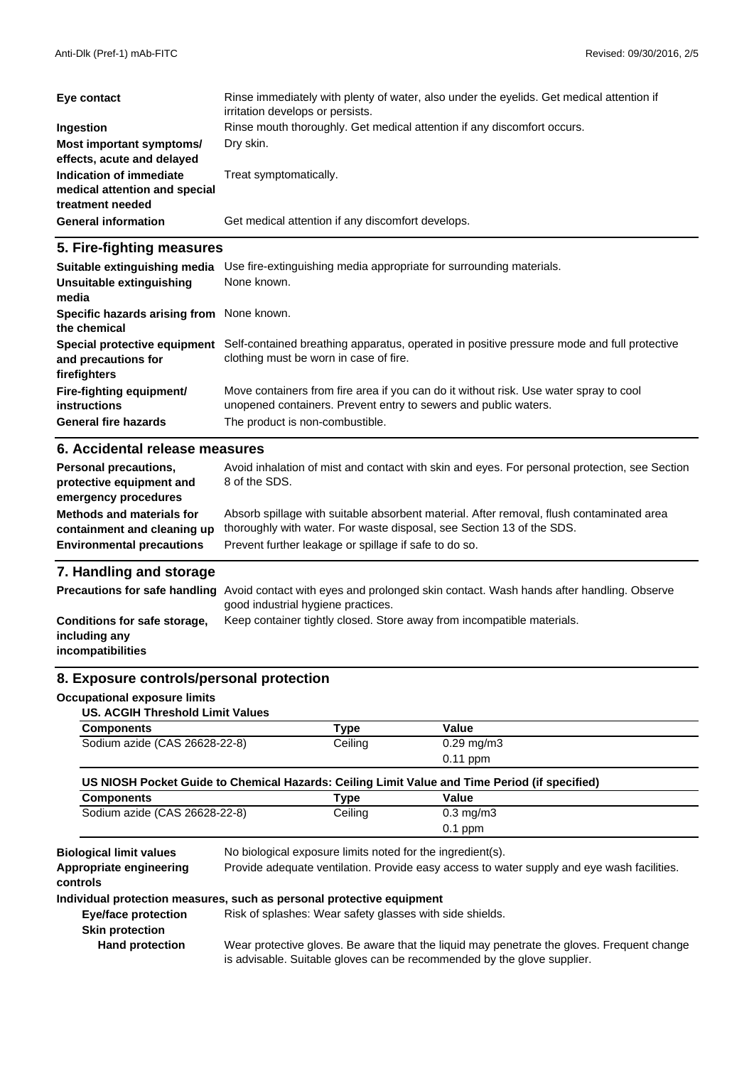| Eye contact                                                                  | Rinse immediately with plenty of water, also under the eyelids. Get medical attention if<br>irritation develops or persists. |
|------------------------------------------------------------------------------|------------------------------------------------------------------------------------------------------------------------------|
| Ingestion                                                                    | Rinse mouth thoroughly. Get medical attention if any discomfort occurs.                                                      |
| Most important symptoms/<br>effects, acute and delayed                       | Dry skin.                                                                                                                    |
| Indication of immediate<br>medical attention and special<br>treatment needed | Treat symptomatically.                                                                                                       |
| <b>General information</b>                                                   | Get medical attention if any discomfort develops.                                                                            |

### **5. Fire-fighting measures**

| Suitable extinguishing media<br>Unsuitable extinguishing            | Use fire-extinguishing media appropriate for surrounding materials.<br>None known.                                                                       |
|---------------------------------------------------------------------|----------------------------------------------------------------------------------------------------------------------------------------------------------|
| media                                                               |                                                                                                                                                          |
| Specific hazards arising from None known.<br>the chemical           |                                                                                                                                                          |
| Special protective equipment<br>and precautions for<br>firefighters | Self-contained breathing apparatus, operated in positive pressure mode and full protective<br>clothing must be worn in case of fire.                     |
| Fire-fighting equipment/<br>instructions                            | Move containers from fire area if you can do it without risk. Use water spray to cool<br>unopened containers. Prevent entry to sewers and public waters. |
| <b>General fire hazards</b>                                         | The product is non-combustible.                                                                                                                          |
| 6 Accidental release measures                                       |                                                                                                                                                          |

#### **6. Accidental release measures**

| <b>Personal precautions,</b><br>protective equipment and<br>emergency procedures | Avoid inhalation of mist and contact with skin and eyes. For personal protection, see Section<br>8 of the SDS. |
|----------------------------------------------------------------------------------|----------------------------------------------------------------------------------------------------------------|
| Methods and materials for                                                        | Absorb spillage with suitable absorbent material. After removal, flush contaminated area                       |
| containment and cleaning up                                                      | thoroughly with water. For waste disposal, see Section 13 of the SDS.                                          |
| <b>Environmental precautions</b>                                                 | Prevent further leakage or spillage if safe to do so.                                                          |

### **7. Handling and storage**

|                                                                    | <b>Precautions for safe handling</b> Avoid contact with eyes and prolonged skin contact. Wash hands after handling. Observe<br>good industrial hygiene practices. |
|--------------------------------------------------------------------|-------------------------------------------------------------------------------------------------------------------------------------------------------------------|
| Conditions for safe storage,<br>including any<br>incompatibilities | Keep container tightly closed. Store away from incompatible materials.                                                                                            |

#### **8. Exposure controls/personal protection**

#### **Occupational exposure limits**

| <b>Components</b>                                                                     | Type    | Value                  |
|---------------------------------------------------------------------------------------|---------|------------------------|
| Sodium azide (CAS 26628-22-8)                                                         | Ceiling | $0.29 \,\mathrm{mg/m}$ |
|                                                                                       |         | $0.11$ ppm             |
| <b>ITA NIAALI BULLEA ELEALURE ITULI APRILIERIN LEI KULLE ITULI BULLEAU LEI MEDIAN</b> |         |                        |

| US NIOSH Pocket Guide to Chemical Hazards: Ceiling Limit Value and Time Period (if specified) |      |       |  |
|-----------------------------------------------------------------------------------------------|------|-------|--|
| <b>Components</b>                                                                             | Type | Value |  |

| <b>UUIIIDUIIGIILJ</b>         | סטוי    | vaiut              |
|-------------------------------|---------|--------------------|
| Sodium azide (CAS 26628-22-8) | Ceiling | $0.3 \text{ mg/m}$ |
|                               |         | ppm<br>U. I        |

**Appropriate engineering**

**Biological limit values** No biological exposure limits noted for the ingredient(s).

Provide adequate ventilation. Provide easy access to water supply and eye wash facilities.

**controls**

#### **Individual protection measures, such as personal protective equipment**

**Eye/face protection** Risk of splashes: Wear safety glasses with side shields.

**Skin protection**

 **Hand protection**

Wear protective gloves. Be aware that the liquid may penetrate the gloves. Frequent change is advisable. Suitable gloves can be recommended by the glove supplier.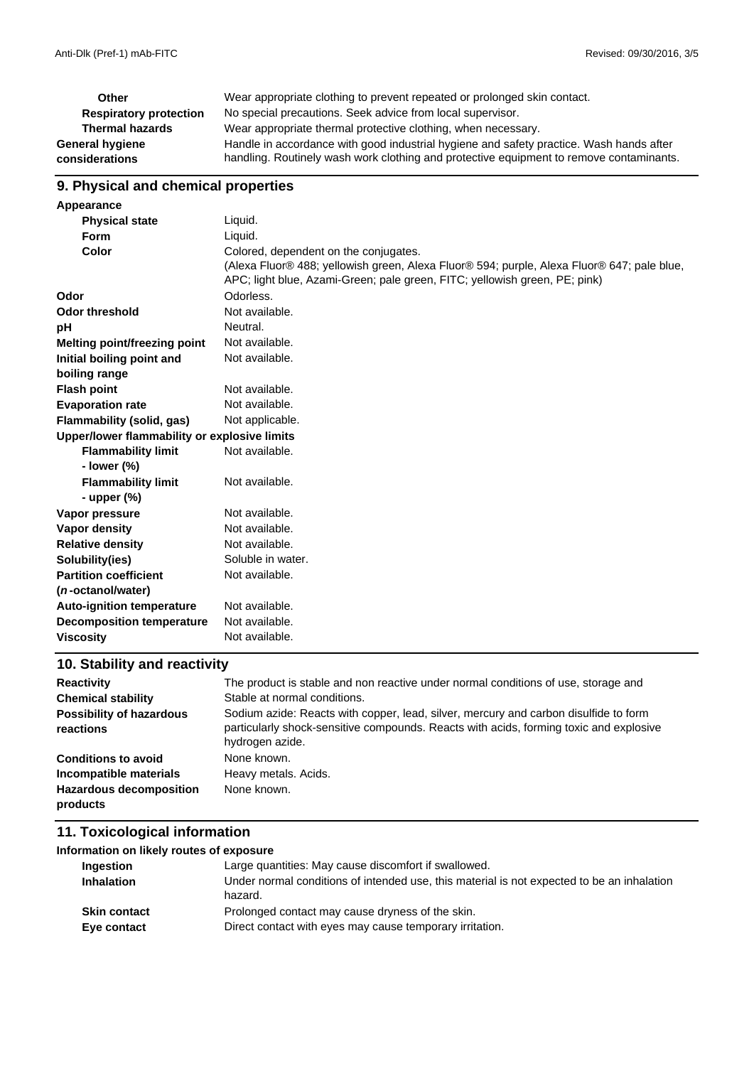| Other                         | Wear appropriate clothing to prevent repeated or prolonged skin contact.                |
|-------------------------------|-----------------------------------------------------------------------------------------|
| <b>Respiratory protection</b> | No special precautions. Seek advice from local supervisor.                              |
| <b>Thermal hazards</b>        | Wear appropriate thermal protective clothing, when necessary.                           |
| General hygiene               | Handle in accordance with good industrial hygiene and safety practice. Wash hands after |
| considerations                | handling. Routinely wash work clothing and protective equipment to remove contaminants. |

# **9. Physical and chemical properties**

| Appearance                                   |                                                                                            |
|----------------------------------------------|--------------------------------------------------------------------------------------------|
| <b>Physical state</b>                        | Liquid.                                                                                    |
| <b>Form</b>                                  | Liquid.                                                                                    |
| Color                                        | Colored, dependent on the conjugates.                                                      |
|                                              | (Alexa Fluor® 488; yellowish green, Alexa Fluor® 594; purple, Alexa Fluor® 647; pale blue, |
|                                              | APC; light blue, Azami-Green; pale green, FITC; yellowish green, PE; pink)                 |
| Odor                                         | Odorless.                                                                                  |
| <b>Odor threshold</b>                        | Not available.                                                                             |
| рH                                           | Neutral.                                                                                   |
| <b>Melting point/freezing point</b>          | Not available.                                                                             |
| Initial boiling point and                    | Not available.                                                                             |
| boiling range                                |                                                                                            |
| <b>Flash point</b>                           | Not available.                                                                             |
| <b>Evaporation rate</b>                      | Not available.                                                                             |
| Flammability (solid, gas)                    | Not applicable.                                                                            |
| Upper/lower flammability or explosive limits |                                                                                            |
| <b>Flammability limit</b>                    | Not available.                                                                             |
| - lower $(\%)$                               |                                                                                            |
| <b>Flammability limit</b>                    | Not available.                                                                             |
| - upper $(\%)$                               |                                                                                            |
| Vapor pressure                               | Not available.                                                                             |
| <b>Vapor density</b>                         | Not available.                                                                             |
| <b>Relative density</b>                      | Not available.                                                                             |
| Solubility(ies)                              | Soluble in water.                                                                          |
| <b>Partition coefficient</b>                 | Not available.                                                                             |
| ( <i>n</i> -octanol/water)                   |                                                                                            |
| <b>Auto-ignition temperature</b>             | Not available.                                                                             |
| <b>Decomposition temperature</b>             | Not available.                                                                             |
| <b>Viscosity</b>                             | Not available.                                                                             |
|                                              |                                                                                            |

# **10. Stability and reactivity**

| <b>Reactivity</b>                            | The product is stable and non reactive under normal conditions of use, storage and                                                                                                                |
|----------------------------------------------|---------------------------------------------------------------------------------------------------------------------------------------------------------------------------------------------------|
| <b>Chemical stability</b>                    | Stable at normal conditions.                                                                                                                                                                      |
| <b>Possibility of hazardous</b><br>reactions | Sodium azide: Reacts with copper, lead, silver, mercury and carbon disulfide to form<br>particularly shock-sensitive compounds. Reacts with acids, forming toxic and explosive<br>hydrogen azide. |
| <b>Conditions to avoid</b>                   | None known.                                                                                                                                                                                       |
| Incompatible materials                       | Heavy metals. Acids.                                                                                                                                                                              |
| <b>Hazardous decomposition</b><br>products   | None known.                                                                                                                                                                                       |

#### **11. Toxicological information**

| Information on likely routes of exposure |                                                                                                              |
|------------------------------------------|--------------------------------------------------------------------------------------------------------------|
| Ingestion                                | Large quantities: May cause discomfort if swallowed.                                                         |
| <b>Inhalation</b>                        | Under normal conditions of intended use, this material is not expected to be an inhalation<br>hazard.        |
| <b>Skin contact</b><br>Eye contact       | Prolonged contact may cause dryness of the skin.<br>Direct contact with eyes may cause temporary irritation. |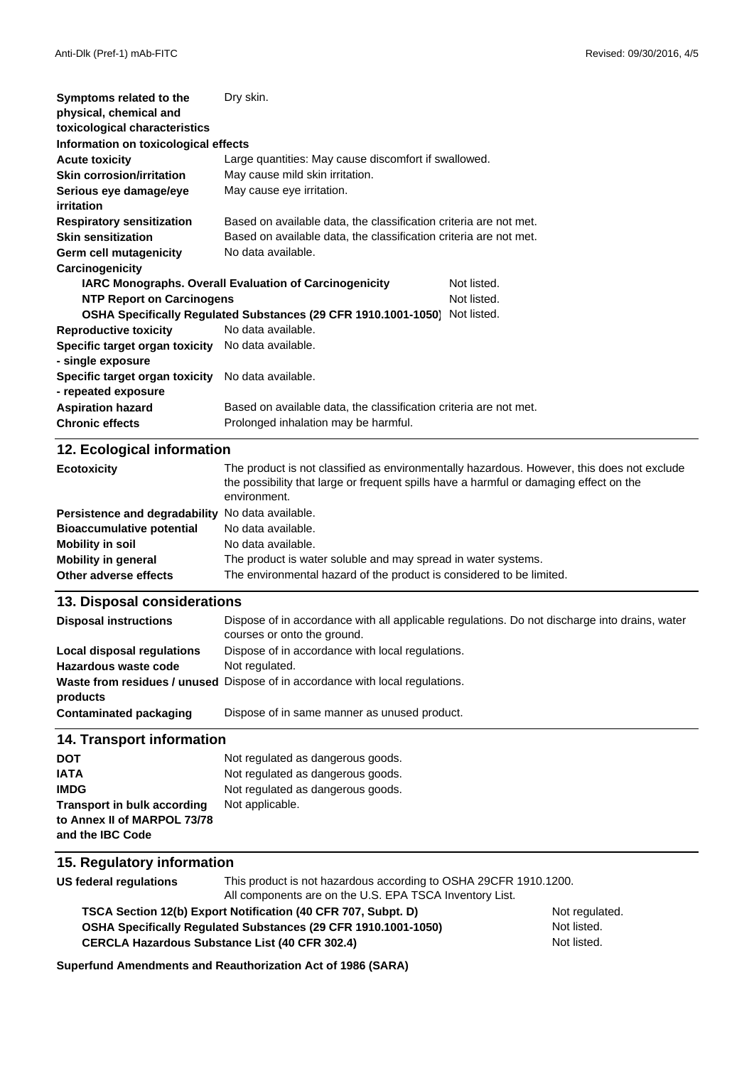| Symptoms related to the                             | Dry skin.                                                                                              |  |
|-----------------------------------------------------|--------------------------------------------------------------------------------------------------------|--|
| physical, chemical and                              |                                                                                                        |  |
| toxicological characteristics                       |                                                                                                        |  |
| Information on toxicological effects                |                                                                                                        |  |
| <b>Acute toxicity</b>                               | Large quantities: May cause discomfort if swallowed.                                                   |  |
| <b>Skin corrosion/irritation</b>                    | May cause mild skin irritation.                                                                        |  |
| Serious eye damage/eye                              | May cause eye irritation.                                                                              |  |
| irritation                                          |                                                                                                        |  |
| <b>Respiratory sensitization</b>                    | Based on available data, the classification criteria are not met.                                      |  |
| <b>Skin sensitization</b>                           | Based on available data, the classification criteria are not met.                                      |  |
| Germ cell mutagenicity                              | No data available.                                                                                     |  |
| Carcinogenicity                                     |                                                                                                        |  |
|                                                     | Not listed.<br>IARC Monographs. Overall Evaluation of Carcinogenicity                                  |  |
| <b>NTP Report on Carcinogens</b>                    | Not listed.                                                                                            |  |
|                                                     | OSHA Specifically Regulated Substances (29 CFR 1910.1001-1050) Not listed.                             |  |
| <b>Reproductive toxicity</b>                        | No data available.                                                                                     |  |
| Specific target organ toxicity No data available.   |                                                                                                        |  |
| - single exposure                                   |                                                                                                        |  |
| Specific target organ toxicity No data available.   |                                                                                                        |  |
| - repeated exposure                                 |                                                                                                        |  |
| <b>Aspiration hazard</b>                            | Based on available data, the classification criteria are not met.                                      |  |
| <b>Chronic effects</b>                              | Prolonged inhalation may be harmful.                                                                   |  |
|                                                     |                                                                                                        |  |
| 12. Ecological information                          |                                                                                                        |  |
| <b>Ecotoxicity</b>                                  | The product is not classified as environmentally hazardous. However, this does not exclude             |  |
|                                                     | the possibility that large or frequent spills have a harmful or damaging effect on the<br>environment. |  |
|                                                     |                                                                                                        |  |
| Persistence and degradability No data available.    |                                                                                                        |  |
| <b>Bioaccumulative potential</b>                    | No data available.                                                                                     |  |
| <b>Mobility in soil</b>                             | No data available.                                                                                     |  |
| <b>Mobility in general</b><br>Other adverse effects | The product is water soluble and may spread in water systems.                                          |  |
|                                                     | The environmental hazard of the product is considered to be limited.                                   |  |
| 13. Disposal considerations                         |                                                                                                        |  |
| <b>Disposal instructions</b>                        | Dispose of in accordance with all applicable regulations. Do not discharge into drains, water          |  |
|                                                     | courses or onto the ground.                                                                            |  |
| <b>Local disposal regulations</b>                   | Dispose of in accordance with local regulations.                                                       |  |
| Hazardous waste code                                | Not regulated.                                                                                         |  |
|                                                     | Waste from residues / unused Dispose of in accordance with local regulations.                          |  |
| products                                            |                                                                                                        |  |
| <b>Contaminated packaging</b>                       | Dispose of in same manner as unused product.                                                           |  |
|                                                     |                                                                                                        |  |
| <b>14. Transport information</b>                    |                                                                                                        |  |
| <b>DOT</b>                                          | Not regulated as dangerous goods.                                                                      |  |
| <b>IATA</b>                                         | Not regulated as dangerous goods.                                                                      |  |
| <b>IMDG</b>                                         | Not regulated as dangerous goods.                                                                      |  |
| <b>Transport in bulk according</b>                  | Not applicable.                                                                                        |  |
| to Annex II of MARPOL 73/78                         |                                                                                                        |  |
| and the IBC Code                                    |                                                                                                        |  |
| 15. Regulatory information                          |                                                                                                        |  |
| <b>US federal regulations</b>                       | This product is not hazardous according to OSHA 29CFR 1910.1200.                                       |  |
|                                                     | All components are on the U.S. EPA TSCA Inventory List.                                                |  |
|                                                     |                                                                                                        |  |

**TSCA Section 12(b) Export Notification (40 CFR 707, Subpt. D)** Not regulated. **OSHA Specifically Regulated Substances (29 CFR 1910.1001-1050)** Not listed. CERCLA Hazardous Substance List (40 CFR 302.4) <br>
Not listed.

**Superfund Amendments and Reauthorization Act of 1986 (SARA)**